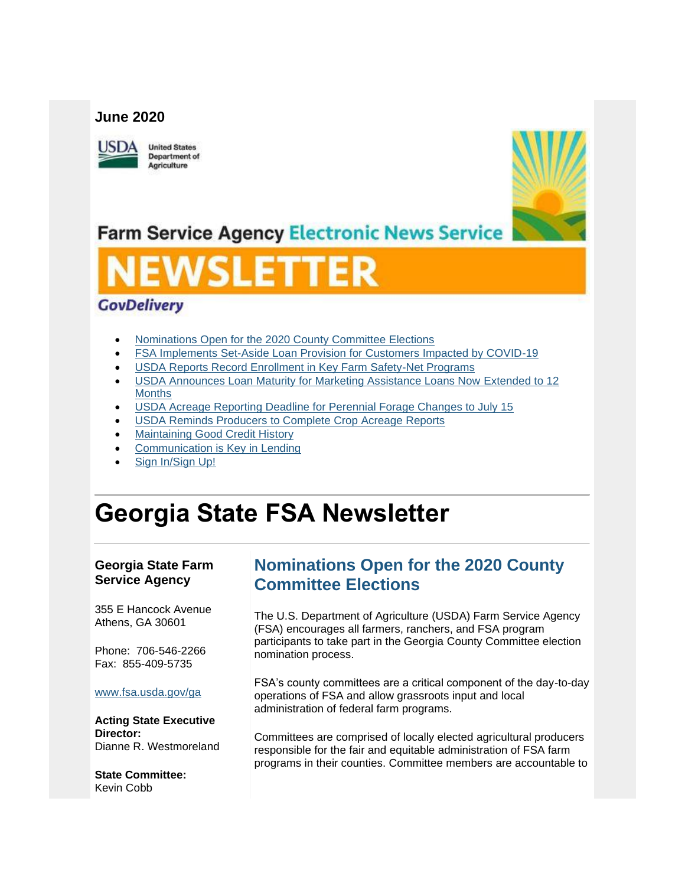#### **June 2020**



**United States** Department of Agriculture



**Farm Service Agency Electronic News Service** 

# WSLETTER

#### **GovDelivery**

- [Nominations Open for the 2020 County Committee Elections](#page-0-0)
- [FSA Implements Set-Aside Loan Provision for Customers Impacted by COVID-19](#page-2-0)
- [USDA Reports Record Enrollment in Key Farm Safety-Net Programs](#page-2-1)
- [USDA Announces Loan Maturity for Marketing Assistance Loans Now Extended to 12](#page-3-0)  **[Months](#page-3-0)**
- [USDA Acreage Reporting Deadline for Perennial Forage Changes to July 15](#page-4-0)
- [USDA Reminds Producers to Complete Crop Acreage Reports](#page-5-0)
- [Maintaining Good Credit History](#page-6-0)
- [Communication is Key in Lending](#page-6-1)
- [Sign In/Sign Up!](#page-7-0)

# **Georgia State FSA Newsletter**

#### **Georgia State Farm Service Agency**

355 E Hancock Avenue Athens, GA 30601

Phone: 706-546-2266 Fax: 855-409-5735

#### [www.fsa.usda.gov/ga](https://gcc02.safelinks.protection.outlook.com/?url=http%3A%2F%2Fwww.fsa.usda.gov%2Fxx%3Futm_medium%3Demail%26utm_source%3Dgovdelivery&data=02%7C01%7C%7C8b18e86faea4405f33fd08d80ed911ae%7Ced5b36e701ee4ebc867ee03cfa0d4697%7C0%7C0%7C637275672916622114&sdata=%2BpOV7hsNseSxMQg%2FJc9fbxWRiyNy%2B%2Fu3rzPi1Njymro%3D&reserved=0)

**Acting State Executive Director:** Dianne R. Westmoreland

**State Committee:** Kevin Cobb

# <span id="page-0-0"></span>**Nominations Open for the 2020 County Committee Elections**

The U.S. Department of Agriculture (USDA) Farm Service Agency (FSA) encourages all farmers, ranchers, and FSA program participants to take part in the Georgia County Committee election nomination process.

FSA's county committees are a critical component of the day-to-day operations of FSA and allow grassroots input and local administration of federal farm programs.

Committees are comprised of locally elected agricultural producers responsible for the fair and equitable administration of FSA farm programs in their counties. Committee members are accountable to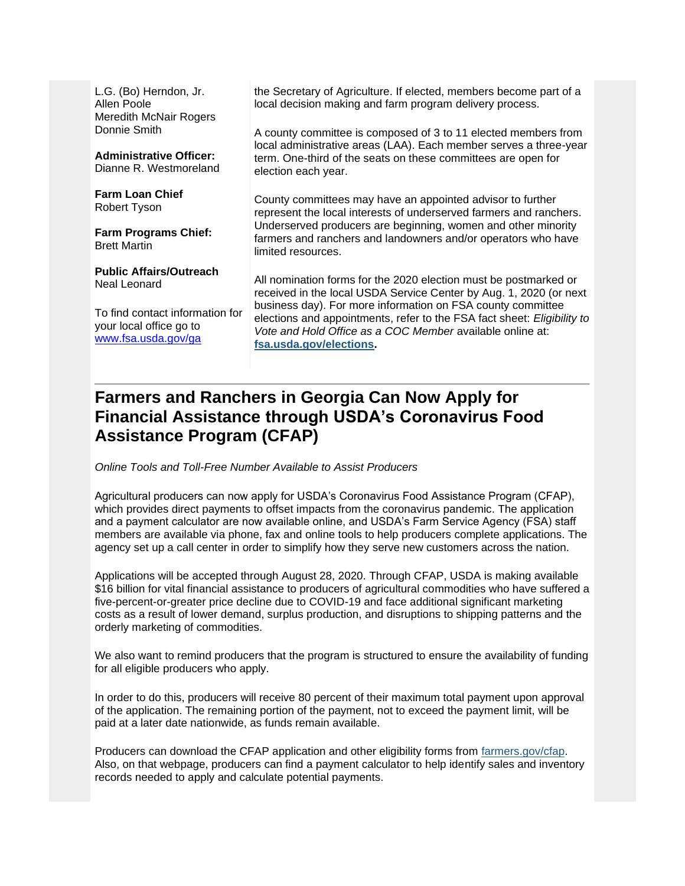L.G. (Bo) Herndon, Jr. Allen Poole Meredith McNair Rogers Donnie Smith

**Administrative Officer:** Dianne R. Westmoreland

**Farm Loan Chief** Robert Tyson

**Farm Programs Chief:** Brett Martin

**Public Affairs/Outreach** Neal Leonard

To find contact information for your local office go to [www.fsa.usda.gov/ga](http://www.fsa.usda.gov/ga)

the Secretary of Agriculture. If elected, members become part of a local decision making and farm program delivery process.

A county committee is composed of 3 to 11 elected members from local administrative areas (LAA). Each member serves a three-year term. One-third of the seats on these committees are open for election each year.

County committees may have an appointed advisor to further represent the local interests of underserved farmers and ranchers. Underserved producers are beginning, women and other minority farmers and ranchers and landowners and/or operators who have limited resources.

All nomination forms for the 2020 election must be postmarked or received in the local USDA Service Center by Aug. 1, 2020 (or next business day). For more information on FSA county committee elections and appointments, refer to the FSA fact sheet: *Eligibility to Vote and Hold Office as a COC Member* available online at: **[fsa.usda.gov/elections.](https://gcc02.safelinks.protection.outlook.com/?url=http%3A%2F%2Fwww.fsa.usda.gov%2Felections%3Futm_medium%3Demail%26utm_source%3Dgovdelivery&data=02%7C01%7C%7C8b18e86faea4405f33fd08d80ed911ae%7Ced5b36e701ee4ebc867ee03cfa0d4697%7C0%7C0%7C637275672916627089&sdata=rFclYiW6A2xJ4zUpuS0mO8Ty2UAf9yg0T%2B5JZwvf2Uo%3D&reserved=0)** 

# **Farmers and Ranchers in Georgia Can Now Apply for Financial Assistance through USDA's Coronavirus Food Assistance Program (CFAP)**

*Online Tools and Toll-Free Number Available to Assist Producers*

Agricultural producers can now apply for USDA's Coronavirus Food Assistance Program (CFAP), which provides direct payments to offset impacts from the coronavirus pandemic. The application and a payment calculator are now available online, and USDA's Farm Service Agency (FSA) staff members are available via phone, fax and online tools to help producers complete applications. The agency set up a call center in order to simplify how they serve new customers across the nation.

Applications will be accepted through August 28, 2020. Through CFAP, USDA is making available \$16 billion for vital financial assistance to producers of agricultural commodities who have suffered a five-percent-or-greater price decline due to COVID-19 and face additional significant marketing costs as a result of lower demand, surplus production, and disruptions to shipping patterns and the orderly marketing of commodities.

We also want to remind producers that the program is structured to ensure the availability of funding for all eligible producers who apply.

In order to do this, producers will receive 80 percent of their maximum total payment upon approval of the application. The remaining portion of the payment, not to exceed the payment limit, will be paid at a later date nationwide, as funds remain available.

Producers can download the CFAP application and other eligibility forms from [farmers.gov/cfap.](http://www.farmers.gov/cfap?utm_medium=email&utm_source=govdelivery) Also, on that webpage, producers can find a payment calculator to help identify sales and inventory records needed to apply and calculate potential payments.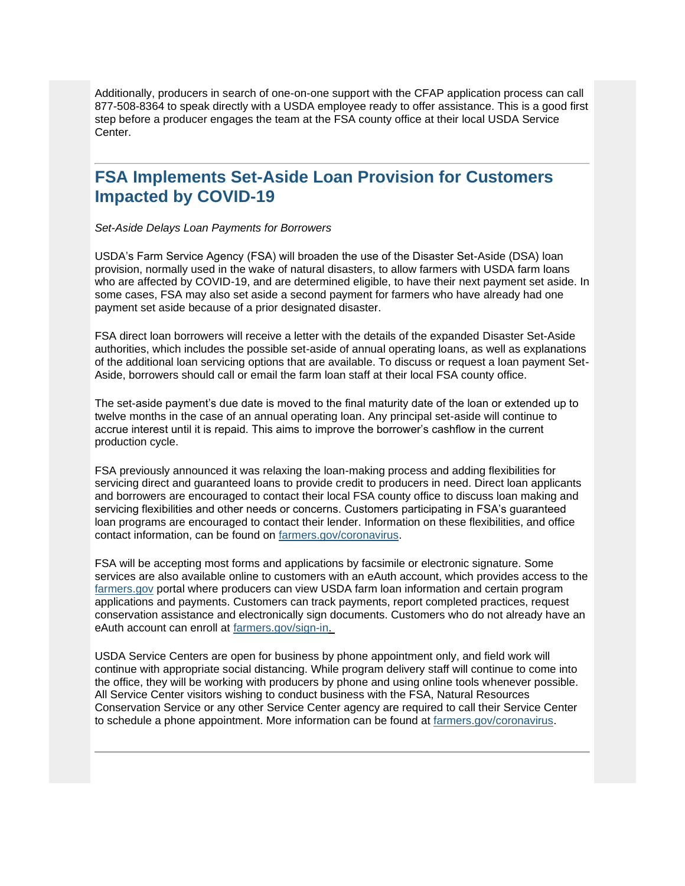Additionally, producers in search of one-on-one support with the CFAP application process can call 877-508-8364 to speak directly with a USDA employee ready to offer assistance. This is a good first step before a producer engages the team at the FSA county office at their local USDA Service Center.

#### <span id="page-2-0"></span>**FSA Implements Set-Aside Loan Provision for Customers Impacted by COVID-19**

*Set-Aside Delays Loan Payments for Borrowers*

USDA's Farm Service Agency (FSA) will broaden the use of the Disaster Set-Aside (DSA) loan provision, normally used in the wake of natural disasters, to allow farmers with USDA farm loans who are affected by COVID-19, and are determined eligible, to have their next payment set aside. In some cases, FSA may also set aside a second payment for farmers who have already had one payment set aside because of a prior designated disaster.

FSA direct loan borrowers will receive a letter with the details of the expanded Disaster Set-Aside authorities, which includes the possible set-aside of annual operating loans, as well as explanations of the additional loan servicing options that are available. To discuss or request a loan payment Set-Aside, borrowers should call or email the farm loan staff at their local FSA county office.

The set-aside payment's due date is moved to the final maturity date of the loan or extended up to twelve months in the case of an annual operating loan. Any principal set-aside will continue to accrue interest until it is repaid. This aims to improve the borrower's cashflow in the current production cycle.

FSA previously announced it was relaxing the loan-making process and adding flexibilities for servicing direct and guaranteed loans to provide credit to producers in need. Direct loan applicants and borrowers are encouraged to contact their local FSA county office to discuss loan making and servicing flexibilities and other needs or concerns. Customers participating in FSA's guaranteed loan programs are encouraged to contact their lender. Information on these flexibilities, and office contact information, can be found on [farmers.gov/coronavirus.](http://www.farmers.gov/coronavirus?utm_medium=email&utm_source=govdelivery)

FSA will be accepting most forms and applications by facsimile or electronic signature. Some services are also available online to customers with an eAuth account, which provides access to the [farmers.gov](http://www.farmers.gov/?utm_medium=email&utm_source=govdelivery) portal where producers can view USDA farm loan information and certain program applications and payments. Customers can track payments, report completed practices, request conservation assistance and electronically sign documents. Customers who do not already have an eAuth account can enroll at [farmers.gov/sign-in.](https://www.farmers.gov/sign-in?utm_medium=email&utm_source=govdelivery)

<span id="page-2-1"></span>USDA Service Centers are open for business by phone appointment only, and field work will continue with appropriate social distancing. While program delivery staff will continue to come into the office, they will be working with producers by phone and using online tools whenever possible. All Service Center visitors wishing to conduct business with the FSA, Natural Resources Conservation Service or any other Service Center agency are required to call their Service Center to schedule a phone appointment. More information can be found at [farmers.gov/coronavirus.](http://www.farmers.gov/coronavirus?utm_medium=email&utm_source=govdelivery)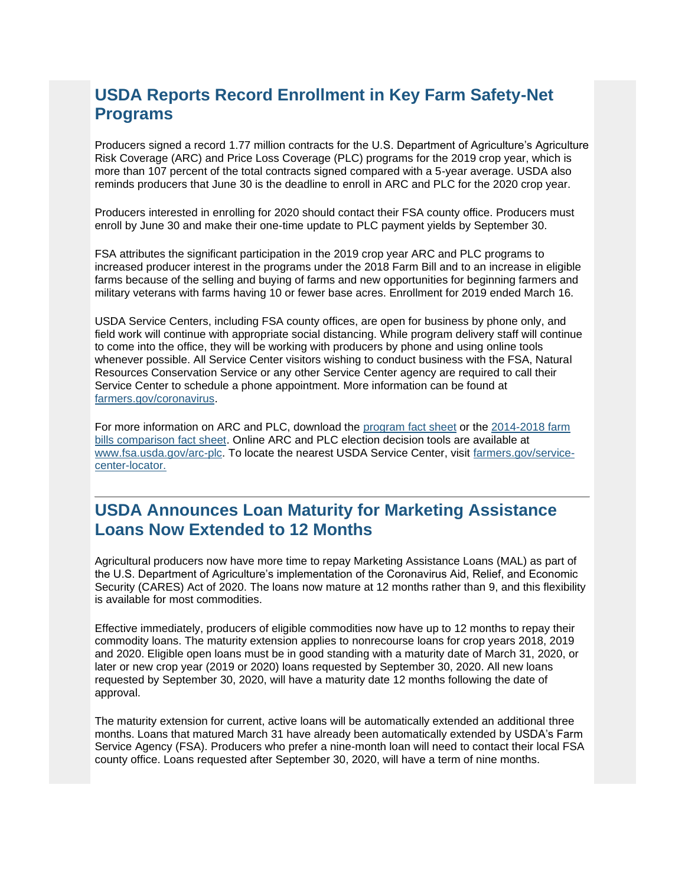# **USDA Reports Record Enrollment in Key Farm Safety-Net Programs**

Producers signed a record 1.77 million contracts for the U.S. Department of Agriculture's Agriculture Risk Coverage (ARC) and Price Loss Coverage (PLC) programs for the 2019 crop year, which is more than 107 percent of the total contracts signed compared with a 5-year average. USDA also reminds producers that June 30 is the deadline to enroll in ARC and PLC for the 2020 crop year.

Producers interested in enrolling for 2020 should contact their FSA county office. Producers must enroll by June 30 and make their one-time update to PLC payment yields by September 30.

FSA attributes the significant participation in the 2019 crop year ARC and PLC programs to increased producer interest in the programs under the 2018 Farm Bill and to an increase in eligible farms because of the selling and buying of farms and new opportunities for beginning farmers and military veterans with farms having 10 or fewer base acres. Enrollment for 2019 ended March 16.

USDA Service Centers, including FSA county offices, are open for business by phone only, and field work will continue with appropriate social distancing. While program delivery staff will continue to come into the office, they will be working with producers by phone and using online tools whenever possible. All Service Center visitors wishing to conduct business with the FSA, Natural Resources Conservation Service or any other Service Center agency are required to call their Service Center to schedule a phone appointment. More information can be found at [farmers.gov/coronavirus.](http://www.farmers.gov/coronavirus?utm_medium=email&utm_source=govdelivery)

For more information on ARC and PLC, download the [program fact sheet](https://gcc02.safelinks.protection.outlook.com/?data=02%7C01%7C%7Cb95186d671f540dcae6108d7e5fdcef6%7Ced5b36e701ee4ebc867ee03cfa0d4697%7C0%7C0%7C637230750571522006&reserved=0&sdata=98wwKAXN0mStBNh26aTqEX6QzifV4WBN5e6U9Tz3tFk%3D&url=https%3A%2F%2Fwww.fsa.usda.gov%2FAssets%2FUSDA-FSA-Public%2Fusdafiles%2FFactSheets%2F2019%2Farc-plc_overview_fact_sheet-aug_2019.pdf%3Futm_medium%3Demail%26utm_source%3Dgovdelivery&utm_medium=email&utm_source=govdelivery) or the [2014-2018 farm](https://gcc02.safelinks.protection.outlook.com/?data=02%7C01%7C%7Cb95186d671f540dcae6108d7e5fdcef6%7Ced5b36e701ee4ebc867ee03cfa0d4697%7C0%7C0%7C637230750571531958&reserved=0&sdata=kUa3eNhRushi68VdV0elqGnvucHSEwHPQvxBFQSHsto%3D&url=https%3A%2F%2Fwww.fsa.usda.gov%2FAssets%2FUSDA-FSA-Public%2Fusdafiles%2FFactSheets%2F2019%2Farc-plc_farm_bill_comparisons-fact_sheet-aug-2019.pdf%3Futm_medium%3Demail%26utm_source%3Dgovdelivery&utm_medium=email&utm_source=govdelivery)  [bills comparison fact sheet.](https://gcc02.safelinks.protection.outlook.com/?data=02%7C01%7C%7Cb95186d671f540dcae6108d7e5fdcef6%7Ced5b36e701ee4ebc867ee03cfa0d4697%7C0%7C0%7C637230750571531958&reserved=0&sdata=kUa3eNhRushi68VdV0elqGnvucHSEwHPQvxBFQSHsto%3D&url=https%3A%2F%2Fwww.fsa.usda.gov%2FAssets%2FUSDA-FSA-Public%2Fusdafiles%2FFactSheets%2F2019%2Farc-plc_farm_bill_comparisons-fact_sheet-aug-2019.pdf%3Futm_medium%3Demail%26utm_source%3Dgovdelivery&utm_medium=email&utm_source=govdelivery) Online ARC and PLC election decision tools are available at [www.fsa.usda.gov/arc-plc.](https://gcc02.safelinks.protection.outlook.com/?data=02%7C01%7C%7Cb95186d671f540dcae6108d7e5fdcef6%7Ced5b36e701ee4ebc867ee03cfa0d4697%7C0%7C0%7C637230750571531958&reserved=0&sdata=AD%2BEua970dOvX0wWvs4eTWH2hBls8JSgB2RsU0DPRHk%3D&url=http%3A%2F%2Fwww.fsa.usda.gov%2Farc-plc%3Futm_medium%3Demail%26utm_source%3Dgovdelivery&utm_medium=email&utm_source=govdelivery) To locate the nearest USDA Service Center, visit [farmers.gov/service](http://www.farmers.gov/service-center-locator?utm_medium=email&utm_source=govdelivery)[center-locator.](http://www.farmers.gov/service-center-locator?utm_medium=email&utm_source=govdelivery)

### <span id="page-3-0"></span>**USDA Announces Loan Maturity for Marketing Assistance Loans Now Extended to 12 Months**

Agricultural producers now have more time to repay Marketing Assistance Loans (MAL) as part of the U.S. Department of Agriculture's implementation of the Coronavirus Aid, Relief, and Economic Security (CARES) Act of 2020. The loans now mature at 12 months rather than 9, and this flexibility is available for most commodities.

Effective immediately, producers of eligible commodities now have up to 12 months to repay their commodity loans. The maturity extension applies to nonrecourse loans for crop years 2018, 2019 and 2020. Eligible open loans must be in good standing with a maturity date of March 31, 2020, or later or new crop year (2019 or 2020) loans requested by September 30, 2020. All new loans requested by September 30, 2020, will have a maturity date 12 months following the date of approval.

The maturity extension for current, active loans will be automatically extended an additional three months. Loans that matured March 31 have already been automatically extended by USDA's Farm Service Agency (FSA). Producers who prefer a nine-month loan will need to contact their local FSA county office. Loans requested after September 30, 2020, will have a term of nine months.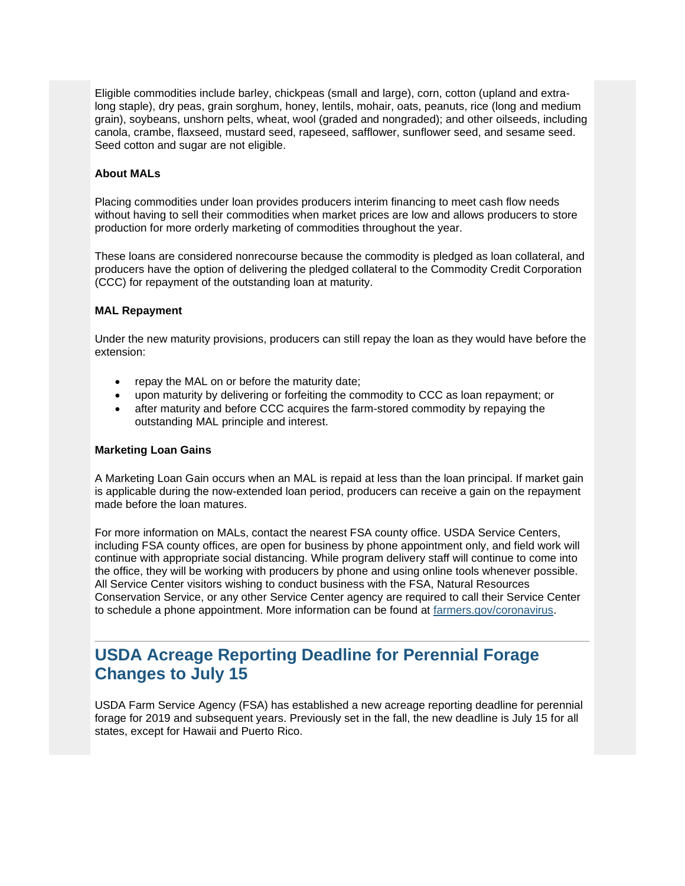Eligible commodities include barley, chickpeas (small and large), corn, cotton (upland and extralong staple), dry peas, grain sorghum, honey, lentils, mohair, oats, peanuts, rice (long and medium grain), soybeans, unshorn pelts, wheat, wool (graded and nongraded); and other oilseeds, including canola, crambe, flaxseed, mustard seed, rapeseed, safflower, sunflower seed, and sesame seed. Seed cotton and sugar are not eligible.

#### **About MALs**

Placing commodities under loan provides producers interim financing to meet cash flow needs without having to sell their commodities when market prices are low and allows producers to store production for more orderly marketing of commodities throughout the year.

These loans are considered nonrecourse because the commodity is pledged as loan collateral, and producers have the option of delivering the pledged collateral to the Commodity Credit Corporation (CCC) for repayment of the outstanding loan at maturity.

#### **MAL Repayment**

Under the new maturity provisions, producers can still repay the loan as they would have before the extension:

- repay the MAL on or before the maturity date;
- upon maturity by delivering or forfeiting the commodity to CCC as loan repayment; or
- after maturity and before CCC acquires the farm-stored commodity by repaying the outstanding MAL principle and interest.

#### **Marketing Loan Gains**

A Marketing Loan Gain occurs when an MAL is repaid at less than the loan principal. If market gain is applicable during the now-extended loan period, producers can receive a gain on the repayment made before the loan matures.

For more information on MALs, contact the nearest FSA county office. USDA Service Centers, including FSA county offices, are open for business by phone appointment only, and field work will continue with appropriate social distancing. While program delivery staff will continue to come into the office, they will be working with producers by phone and using online tools whenever possible. All Service Center visitors wishing to conduct business with the FSA, Natural Resources Conservation Service, or any other Service Center agency are required to call their Service Center to schedule a phone appointment. More information can be found at [farmers.gov/coronavirus.](http://www.farmers.gov/coronavirus?utm_medium=email&utm_source=govdelivery)

# <span id="page-4-0"></span>**USDA Acreage Reporting Deadline for Perennial Forage Changes to July 15**

USDA Farm Service Agency (FSA) has established a new acreage reporting deadline for perennial forage for 2019 and subsequent years. Previously set in the fall, the new deadline is July 15 for all states, except for Hawaii and Puerto Rico.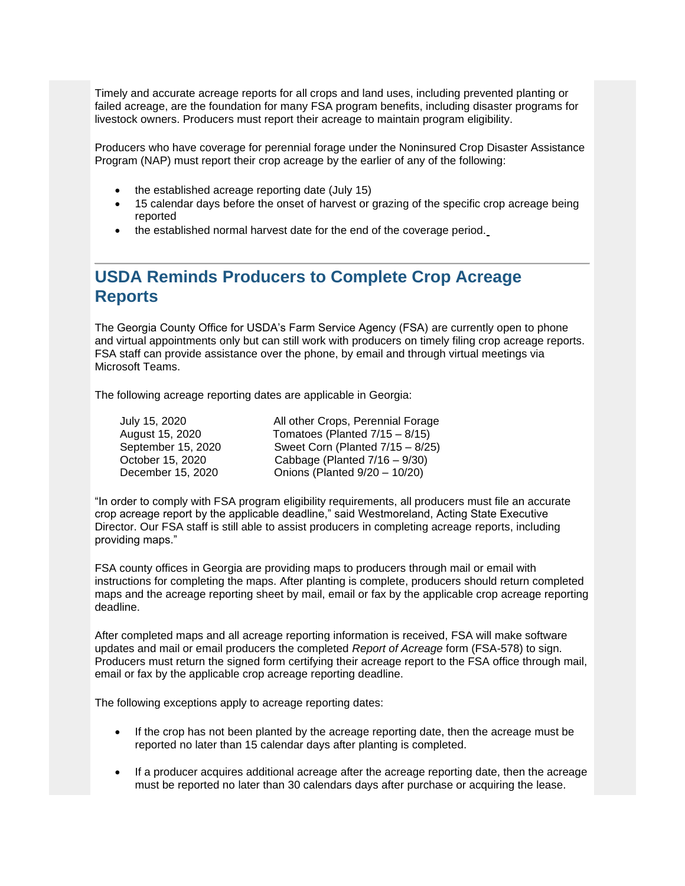Timely and accurate acreage reports for all crops and land uses, including prevented planting or failed acreage, are the foundation for many FSA program benefits, including disaster programs for livestock owners. Producers must report their acreage to maintain program eligibility.

Producers who have coverage for perennial forage under the Noninsured Crop Disaster Assistance Program (NAP) must report their crop acreage by the earlier of any of the following:

- the established acreage reporting date (July 15)
- 15 calendar days before the onset of harvest or grazing of the specific crop acreage being reported
- the established normal harvest date for the end of the coverage period.

### <span id="page-5-0"></span>**USDA Reminds Producers to Complete Crop Acreage Reports**

The Georgia County Office for USDA's Farm Service Agency (FSA) are currently open to phone and virtual appointments only but can still work with producers on timely filing crop acreage reports. FSA staff can provide assistance over the phone, by email and through virtual meetings via Microsoft Teams.

The following acreage reporting dates are applicable in Georgia:

| July 15, 2020      | All other Crops, Perennial Forage |
|--------------------|-----------------------------------|
| August 15, 2020    | Tomatoes (Planted $7/15 - 8/15$ ) |
| September 15, 2020 | Sweet Corn (Planted 7/15 - 8/25)  |
| October 15, 2020   | Cabbage (Planted $7/16 - 9/30$ )  |
| December 15, 2020  | Onions (Planted 9/20 - 10/20)     |

"In order to comply with FSA program eligibility requirements, all producers must file an accurate crop acreage report by the applicable deadline," said Westmoreland, Acting State Executive Director. Our FSA staff is still able to assist producers in completing acreage reports, including providing maps."

FSA county offices in Georgia are providing maps to producers through mail or email with instructions for completing the maps. After planting is complete, producers should return completed maps and the acreage reporting sheet by mail, email or fax by the applicable crop acreage reporting deadline.

After completed maps and all acreage reporting information is received, FSA will make software updates and mail or email producers the completed *Report of Acreage* form (FSA-578) to sign. Producers must return the signed form certifying their acreage report to the FSA office through mail, email or fax by the applicable crop acreage reporting deadline.

The following exceptions apply to acreage reporting dates:

- If the crop has not been planted by the acreage reporting date, then the acreage must be reported no later than 15 calendar days after planting is completed.
- If a producer acquires additional acreage after the acreage reporting date, then the acreage must be reported no later than 30 calendars days after purchase or acquiring the lease.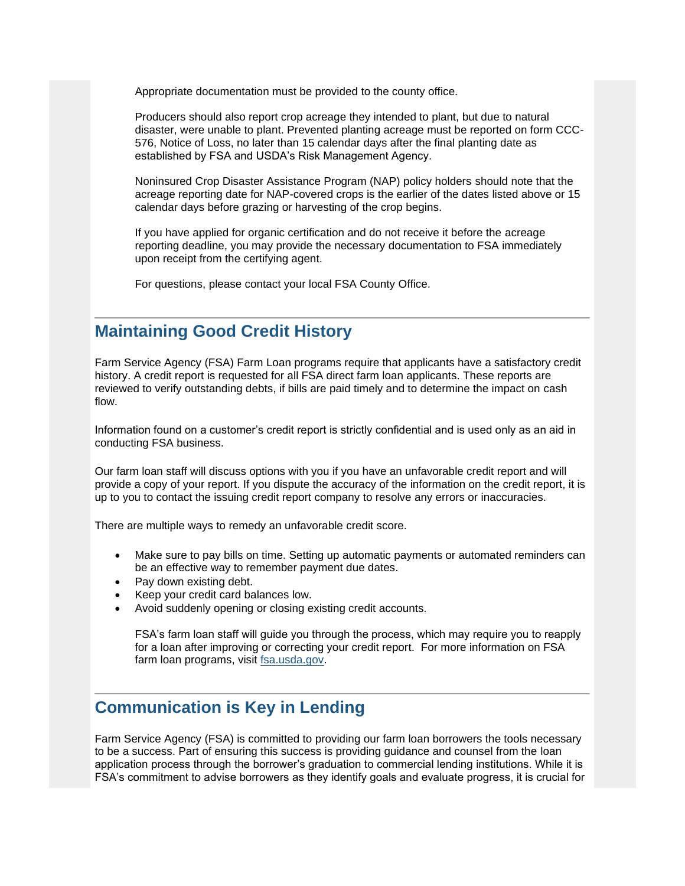Appropriate documentation must be provided to the county office.

Producers should also report crop acreage they intended to plant, but due to natural disaster, were unable to plant. Prevented planting acreage must be reported on form CCC-576, Notice of Loss, no later than 15 calendar days after the final planting date as established by FSA and USDA's Risk Management Agency.

Noninsured Crop Disaster Assistance Program (NAP) policy holders should note that the acreage reporting date for NAP-covered crops is the earlier of the dates listed above or 15 calendar days before grazing or harvesting of the crop begins.

If you have applied for organic certification and do not receive it before the acreage reporting deadline, you may provide the necessary documentation to FSA immediately upon receipt from the certifying agent.

For questions, please contact your local FSA County Office.

#### <span id="page-6-0"></span>**Maintaining Good Credit History**

Farm Service Agency (FSA) Farm Loan programs require that applicants have a satisfactory credit history. A credit report is requested for all FSA direct farm loan applicants. These reports are reviewed to verify outstanding debts, if bills are paid timely and to determine the impact on cash flow.

Information found on a customer's credit report is strictly confidential and is used only as an aid in conducting FSA business.

Our farm loan staff will discuss options with you if you have an unfavorable credit report and will provide a copy of your report. If you dispute the accuracy of the information on the credit report, it is up to you to contact the issuing credit report company to resolve any errors or inaccuracies.

There are multiple ways to remedy an unfavorable credit score.

- Make sure to pay bills on time. Setting up automatic payments or automated reminders can be an effective way to remember payment due dates.
- Pay down existing debt.
- Keep your credit card balances low.
- Avoid suddenly opening or closing existing credit accounts.

FSA's farm loan staff will guide you through the process, which may require you to reapply for a loan after improving or correcting your credit report. For more information on FSA farm loan programs, visit [fsa.usda.gov.](https://gcc02.safelinks.protection.outlook.com/?url=http%3A%2F%2Fwww.fsa.usda.gov%2F%3Futm_medium%3Demail%26utm_source%3Dgovdelivery&data=02%7C01%7C%7C8b18e86faea4405f33fd08d80ed911ae%7Ced5b36e701ee4ebc867ee03cfa0d4697%7C0%7C0%7C637275672916637047&sdata=mTsj%2FjJCABYilGhJyiB5GB0VB0qEarNbTceEid4t6Nw%3D&reserved=0)

#### <span id="page-6-1"></span>**Communication is Key in Lending**

Farm Service Agency (FSA) is committed to providing our farm loan borrowers the tools necessary to be a success. Part of ensuring this success is providing guidance and counsel from the loan application process through the borrower's graduation to commercial lending institutions. While it is FSA's commitment to advise borrowers as they identify goals and evaluate progress, it is crucial for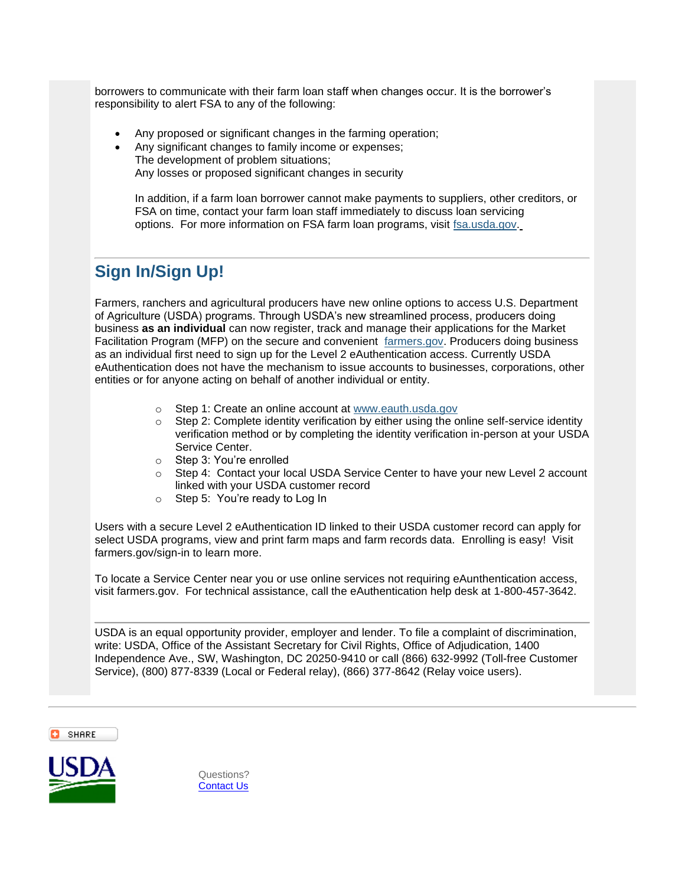borrowers to communicate with their farm loan staff when changes occur. It is the borrower's responsibility to alert FSA to any of the following:

- Any proposed or significant changes in the farming operation;
- Any significant changes to family income or expenses; The development of problem situations; Any losses or proposed significant changes in security

In addition, if a farm loan borrower cannot make payments to suppliers, other creditors, or FSA on time, contact your farm loan staff immediately to discuss loan servicing options. For more information on FSA farm loan programs, visit [fsa.usda.gov.](https://gcc02.safelinks.protection.outlook.com/?url=http%3A%2F%2Fwww.fsa.usda.gov%2F%3Futm_medium%3Demail%26utm_source%3Dgovdelivery&data=02%7C01%7C%7C8b18e86faea4405f33fd08d80ed911ae%7Ced5b36e701ee4ebc867ee03cfa0d4697%7C0%7C0%7C637275672916642023&sdata=kABGfTB5x9Vo4X1Dmf2mK31N7dfhIkuGfG%2BGYzk35VU%3D&reserved=0)

# <span id="page-7-0"></span>**Sign In/Sign Up!**

Farmers, ranchers and agricultural producers have new online options to access U.S. Department of Agriculture (USDA) programs. Through USDA's new streamlined process, producers doing business **as an individual** can now register, track and manage their applications for the Market Facilitation Program (MFP) on the secure and convenient [farmers.gov.](http://www.farmers.gov/?utm_medium=email&utm_source=govdelivery) Producers doing business as an individual first need to sign up for the Level 2 eAuthentication access. Currently USDA eAuthentication does not have the mechanism to issue accounts to businesses, corporations, other entities or for anyone acting on behalf of another individual or entity.

- o Step 1: Create an online account at [www.eauth.usda.gov](https://gcc02.safelinks.protection.outlook.com/?url=https%3A%2F%2Fwww.eauth.usda.gov%2FmainPages%2Findex.aspx%3Futm_medium%3Demail%26utm_source%3Dgovdelivery&data=02%7C01%7C%7C8b18e86faea4405f33fd08d80ed911ae%7Ced5b36e701ee4ebc867ee03cfa0d4697%7C0%7C0%7C637275672916647010&sdata=aD3RYPTDz3rZxCpUyE5dDPlM5Wwcm6EEcyoSGQX9O9I%3D&reserved=0)
- $\circ$  Step 2: Complete identity verification by either using the online self-service identity verification method or by completing the identity verification in-person at your USDA Service Center.
- o Step 3: You're enrolled
- $\circ$  Step 4: Contact your local USDA Service Center to have your new Level 2 account linked with your USDA customer record
- o Step 5: You're ready to Log In

Users with a secure Level 2 eAuthentication ID linked to their USDA customer record can apply for select USDA programs, view and print farm maps and farm records data. Enrolling is easy! Visit farmers.gov/sign-in to learn more.

To locate a Service Center near you or use online services not requiring eAunthentication access, visit farmers.gov. For technical assistance, call the eAuthentication help desk at 1-800-457-3642.

USDA is an equal opportunity provider, employer and lender. To file a complaint of discrimination, write: USDA, Office of the Assistant Secretary for Civil Rights, Office of Adjudication, 1400 Independence Ave., SW, Washington, DC 20250-9410 or call (866) 632-9992 (Toll-free Customer Service), (800) 877-8339 (Local or Federal relay), (866) 377-8642 (Relay voice users).

SHARE



Questions? [Contact Us](https://gcc02.safelinks.protection.outlook.com/?url=https%3A%2F%2Fwww.fsa.usda.gov%2Fcontact-us%3Futm_medium%3Demail%26utm_source%3Dgovdelivery&data=02%7C01%7C%7C8b18e86faea4405f33fd08d80ed911ae%7Ced5b36e701ee4ebc867ee03cfa0d4697%7C0%7C0%7C637275672916656962&sdata=sv6OqZLJ79tDOXW0gS2k5HhE0NWgcVABCGi%2Bvwbddn0%3D&reserved=0)